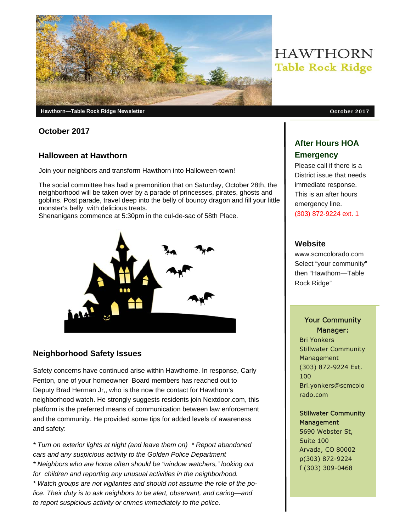

**October 2017** 

#### **Halloween at Hawthorn**

Join your neighbors and transform Hawthorn into Halloween-town!

The social committee has had a premonition that on Saturday, October 28th, the neighborhood will be taken over by a parade of princesses, pirates, ghosts and goblins. Post parade, travel deep into the belly of bouncy dragon and fill your little monster's belly with delicious treats.

Shenanigans commence at 5:30pm in the cul-de-sac of 58th Place.



### **Neighborhood Safety Issues**

Safety concerns have continued arise within Hawthorne. In response, Carly Fenton, one of your homeowner Board members has reached out to Deputy Brad Herman Jr,, who is the now the contact for Hawthorn's neighborhood watch. He strongly suggests residents join Nextdoor.com, this platform is the preferred means of communication between law enforcement and the community. He provided some tips for added levels of awareness and safety:

*\* Turn on exterior lights at night (and leave them on) \* Report abandoned cars and any suspicious activity to the Golden Police Department \* Neighbors who are home often should be "window watchers," looking out for children and reporting any unusual activities in the neighborhood. \* Watch groups are not vigilantes and should not assume the role of the police. Their duty is to ask neighbors to be alert, observant, and caring—and to report suspicious activity or crimes immediately to the police.* 

# **HAWTHORN Table Rock Ridge**

## **After Hours HOA Emergency**

Please call if there is a District issue that needs immediate response. This is an after hours emergency line. (303) 872-9224 ext. 1

#### **Website**

www.scmcolorado.com Select "your community" then "Hawthorn—Table Rock Ridge"

#### Your Community Manager:

Bri Yonkers Stillwater Community Management (303) 872-9224 Ext. 100 Bri.yonkers@scmcolo rado.com

#### Stillwater Community **Management**

5690 Webster St, Suite 100 Arvada, CO 80002 p(303) 872-9224 f (303) 309-0468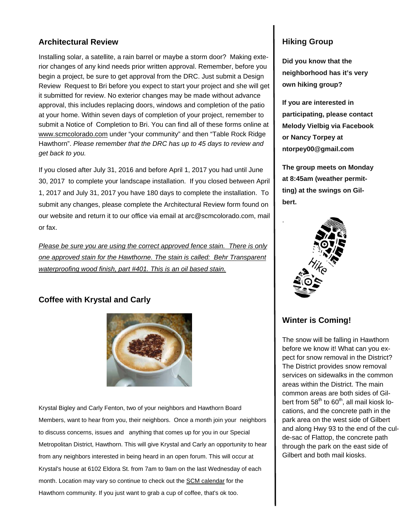#### **Architectural Review**

Installing solar, a satellite, a rain barrel or maybe a storm door? Making exterior changes of any kind needs prior written approval. Remember, before you begin a project, be sure to get approval from the DRC. Just submit a Design Review Request to Bri before you expect to start your project and she will get it submitted for review. No exterior changes may be made without advance approval, this includes replacing doors, windows and completion of the patio at your home. Within seven days of completion of your project, remember to submit a Notice of Completion to Bri. You can find all of these forms online at www.scmcolorado.com under "your community" and then "Table Rock Ridge Hawthorn". *Please remember that the DRC has up to 45 days to review and get back to you.*

If you closed after July 31, 2016 and before April 1, 2017 you had until June 30, 2017 to complete your landscape installation. If you closed between April 1, 2017 and July 31, 2017 you have 180 days to complete the installation. To submit any changes, please complete the Architectural Review form found on our website and return it to our office via email at arc@scmcolorado.com, mail or fax.

*Please be sure you are using the correct approved fence stain. There is only one approved stain for the Hawthorne. The stain is called: Behr Transparent waterproofing wood finish, part #401. This is an oil based stain.* 

### **Coffee with Krystal and Carly**



Krystal Bigley and Carly Fenton, two of your neighbors and Hawthorn Board Members, want to hear from you, their neighbors. Once a month join your neighbors to discuss concerns, issues and anything that comes up for you in our Special Metropolitan District, Hawthorn. This will give Krystal and Carly an opportunity to hear from any neighbors interested in being heard in an open forum. This will occur at Krystal's house at 6102 Eldora St. from 7am to 9am on the last Wednesday of each month. Location may vary so continue to check out the SCM calendar for the Hawthorn community. If you just want to grab a cup of coffee, that's ok too.

#### **Hiking Group**

**Did you know that the neighborhood has it's very own hiking group?** 

**If you are interested in participating, please contact Melody Vielbig via Facebook or Nancy Torpey at ntorpey00@gmail.com** 

**The group meets on Monday at 8:45am (weather permitting) at the swings on Gilbert.** 



### **Winter is Coming!**

The snow will be falling in Hawthorn before we know it! What can you expect for snow removal in the District? The District provides snow removal services on sidewalks in the common areas within the District. The main common areas are both sides of Gilbert from  $58<sup>th</sup>$  to  $60<sup>th</sup>$ , all mail kiosk locations, and the concrete path in the park area on the west side of Gilbert and along Hwy 93 to the end of the culde-sac of Flattop, the concrete path through the park on the east side of Gilbert and both mail kiosks.